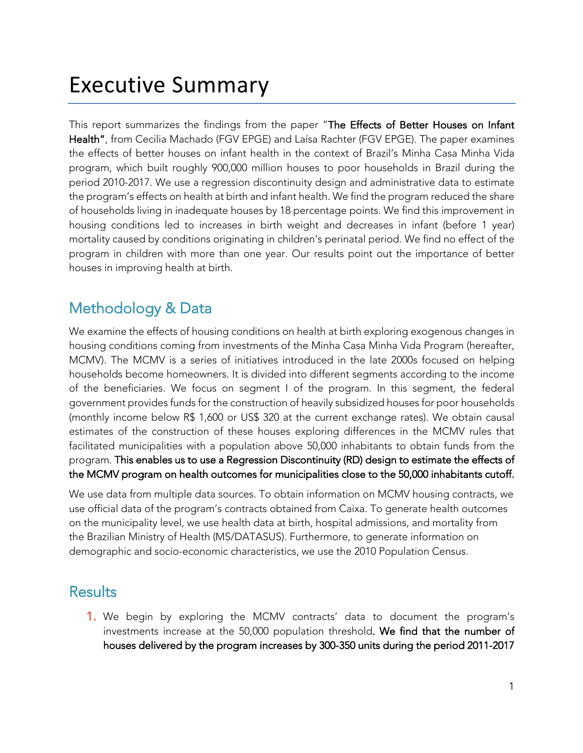## Executive Summary

This report summarizes the findings from the paper "The Effects of Better Houses on Infant Health", from Cecilia Machado (FGV EPGE) and Laísa Rachter (FGV EPGE). The paper examines the effects of better houses on infant health in the context of Brazil's Minha Casa Minha Vida program, which built roughly 900,000 million houses to poor households in Brazil during the period 2010-2017. We use a regression discontinuity design and administrative data to estimate the program's effects on health at birth and infant health. We find the program reduced the share of households living in inadequate houses by 18 percentage points. We find this improvement in housing conditions led to increases in birth weight and decreases in infant (before 1 year) mortality caused by conditions originating in children's perinatal period. We find no effect of the program in children with more than one year. Our results point out the importance of better houses in improving health at birth.

## Methodology & Data

We examine the effects of housing conditions on health at birth exploring exogenous changes in housing conditions coming from investments of the Minha Casa Minha Vida Program (hereafter, MCMV). The MCMV is a series of initiatives introduced in the late 2000s focused on helping households become homeowners. It is divided into different segments according to the income of the beneficiaries. We focus on segment I of the program. In this segment, the federal government provides funds for the construction of heavily subsidized houses for poor households (monthly income below R\$ 1,600 or US\$ 320 at the current exchange rates). We obtain causal estimates of the construction of these houses exploring differences in the MCMV rules that facilitated municipalities with a population above 50,000 inhabitants to obtain funds from the program. This enables us to use a Regression Discontinuity (RD) design to estimate the effects of the MCMV program on health outcomes for municipalities close to the 50,000 inhabitants cutoff.

We use data from multiple data sources. To obtain information on MCMV housing contracts, we use official data of the program's contracts obtained from Caixa. To generate health outcomes on the municipality level, we use health data at birth, hospital admissions, and mortality from the Brazilian Ministry of Health (MS/DATASUS). Furthermore, to generate information on demographic and socio-economic characteristics, we use the 2010 Population Census.

## **Results**

1. We begin by exploring the MCMV contracts' data to document the program's investments increase at the 50,000 population threshold. We find that the number of houses delivered by the program increases by 300-350 units during the period 2011-2017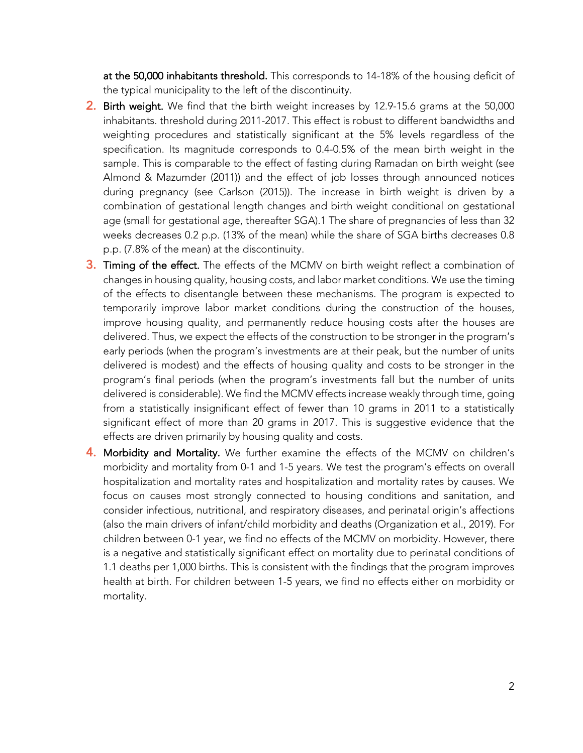at the 50,000 inhabitants threshold. This corresponds to 14-18% of the housing deficit of the typical municipality to the left of the discontinuity.

- 2. Birth weight. We find that the birth weight increases by 12.9-15.6 grams at the 50,000 inhabitants. threshold during 2011-2017. This effect is robust to different bandwidths and weighting procedures and statistically significant at the 5% levels regardless of the specification. Its magnitude corresponds to 0.4-0.5% of the mean birth weight in the sample. This is comparable to the effect of fasting during Ramadan on birth weight (see Almond & Mazumder (2011)) and the effect of job losses through announced notices during pregnancy (see Carlson (2015)). The increase in birth weight is driven by a combination of gestational length changes and birth weight conditional on gestational age (small for gestational age, thereafter SGA).1 The share of pregnancies of less than 32 weeks decreases 0.2 p.p. (13% of the mean) while the share of SGA births decreases 0.8 p.p. (7.8% of the mean) at the discontinuity.
- **3. Timing of the effect.** The effects of the MCMV on birth weight reflect a combination of changes in housing quality, housing costs, and labor market conditions. We use the timing of the effects to disentangle between these mechanisms. The program is expected to temporarily improve labor market conditions during the construction of the houses, improve housing quality, and permanently reduce housing costs after the houses are delivered. Thus, we expect the effects of the construction to be stronger in the program's early periods (when the program's investments are at their peak, but the number of units delivered is modest) and the effects of housing quality and costs to be stronger in the program's final periods (when the program's investments fall but the number of units delivered is considerable). We find the MCMV effects increase weakly through time, going from a statistically insignificant effect of fewer than 10 grams in 2011 to a statistically significant effect of more than 20 grams in 2017. This is suggestive evidence that the effects are driven primarily by housing quality and costs.
- 4. Morbidity and Mortality. We further examine the effects of the MCMV on children's morbidity and mortality from 0-1 and 1-5 years. We test the program's effects on overall hospitalization and mortality rates and hospitalization and mortality rates by causes. We focus on causes most strongly connected to housing conditions and sanitation, and consider infectious, nutritional, and respiratory diseases, and perinatal origin's affections (also the main drivers of infant/child morbidity and deaths (Organization et al., 2019). For children between 0-1 year, we find no effects of the MCMV on morbidity. However, there is a negative and statistically significant effect on mortality due to perinatal conditions of 1.1 deaths per 1,000 births. This is consistent with the findings that the program improves health at birth. For children between 1-5 years, we find no effects either on morbidity or mortality.